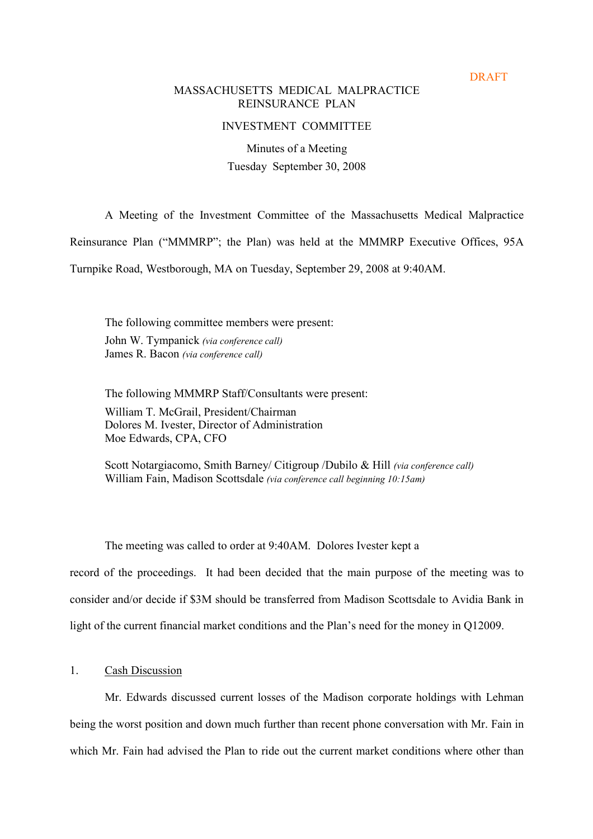**DRAFT** 

#### MASSACHUSETTS MEDICAL MALPRACTICE REINSURANCE PLAN

## INVESTMENT COMMITTEE

Minutes of a Meeting Tuesday September 30, 2008

A Meeting of the Investment Committee of the Massachusetts Medical Malpractice

Reinsurance Plan ("MMMRP"; the Plan) was held at the MMMRP Executive Offices, 95A

Turnpike Road, Westborough, MA on Tuesday, September 29, 2008 at 9:40AM.

The following committee members were present: John W. Tympanick (via conference call) James R. Bacon (via conference call)

The following MMMRP Staff/Consultants were present: William T. McGrail, President/Chairman Dolores M. Ivester, Director of Administration Moe Edwards, CPA, CFO

Scott Notargiacomo, Smith Barney/ Citigroup /Dubilo & Hill (via conference call) William Fain, Madison Scottsdale (via conference call beginning 10:15am)

The meeting was called to order at 9:40AM. Dolores Ivester kept a

record of the proceedings. It had been decided that the main purpose of the meeting was to consider and/or decide if \$3M should be transferred from Madison Scottsdale to Avidia Bank in light of the current financial market conditions and the Plan's need for the money in Q12009.

# 1. Cash Discussion

Mr. Edwards discussed current losses of the Madison corporate holdings with Lehman being the worst position and down much further than recent phone conversation with Mr. Fain in which Mr. Fain had advised the Plan to ride out the current market conditions where other than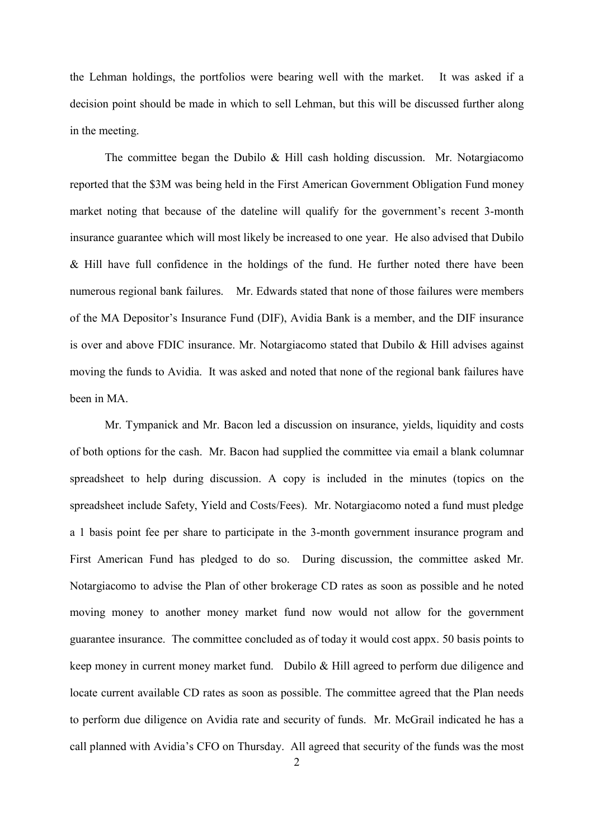the Lehman holdings, the portfolios were bearing well with the market. It was asked if a decision point should be made in which to sell Lehman, but this will be discussed further along in the meeting.

The committee began the Dubilo & Hill cash holding discussion. Mr. Notargiacomo reported that the \$3M was being held in the First American Government Obligation Fund money market noting that because of the dateline will qualify for the government's recent 3-month insurance guarantee which will most likely be increased to one year. He also advised that Dubilo & Hill have full confidence in the holdings of the fund. He further noted there have been numerous regional bank failures. Mr. Edwards stated that none of those failures were members of the MA Depositorís Insurance Fund (DIF), Avidia Bank is a member, and the DIF insurance is over and above FDIC insurance. Mr. Notargiacomo stated that Dubilo & Hill advises against moving the funds to Avidia. It was asked and noted that none of the regional bank failures have been in MA.

Mr. Tympanick and Mr. Bacon led a discussion on insurance, yields, liquidity and costs of both options for the cash. Mr. Bacon had supplied the committee via email a blank columnar spreadsheet to help during discussion. A copy is included in the minutes (topics on the spreadsheet include Safety, Yield and Costs/Fees). Mr. Notargiacomo noted a fund must pledge a 1 basis point fee per share to participate in the 3-month government insurance program and First American Fund has pledged to do so. During discussion, the committee asked Mr. Notargiacomo to advise the Plan of other brokerage CD rates as soon as possible and he noted moving money to another money market fund now would not allow for the government guarantee insurance. The committee concluded as of today it would cost appx. 50 basis points to keep money in current money market fund. Dubilo & Hill agreed to perform due diligence and locate current available CD rates as soon as possible. The committee agreed that the Plan needs to perform due diligence on Avidia rate and security of funds. Mr. McGrail indicated he has a call planned with Avidia's CFO on Thursday. All agreed that security of the funds was the most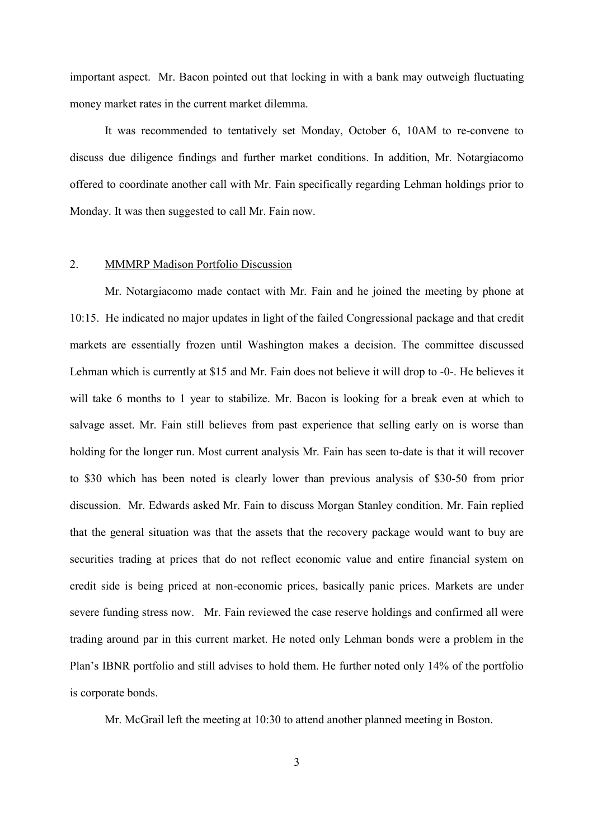important aspect. Mr. Bacon pointed out that locking in with a bank may outweigh fluctuating money market rates in the current market dilemma.

It was recommended to tentatively set Monday, October 6, 10AM to re-convene to discuss due diligence findings and further market conditions. In addition, Mr. Notargiacomo offered to coordinate another call with Mr. Fain specifically regarding Lehman holdings prior to Monday. It was then suggested to call Mr. Fain now.

### 2. MMMRP Madison Portfolio Discussion

Mr. Notargiacomo made contact with Mr. Fain and he joined the meeting by phone at 10:15. He indicated no major updates in light of the failed Congressional package and that credit markets are essentially frozen until Washington makes a decision. The committee discussed Lehman which is currently at \$15 and Mr. Fain does not believe it will drop to -0-. He believes it will take 6 months to 1 year to stabilize. Mr. Bacon is looking for a break even at which to salvage asset. Mr. Fain still believes from past experience that selling early on is worse than holding for the longer run. Most current analysis Mr. Fain has seen to-date is that it will recover to \$30 which has been noted is clearly lower than previous analysis of \$30-50 from prior discussion. Mr. Edwards asked Mr. Fain to discuss Morgan Stanley condition. Mr. Fain replied that the general situation was that the assets that the recovery package would want to buy are securities trading at prices that do not reflect economic value and entire financial system on credit side is being priced at non-economic prices, basically panic prices. Markets are under severe funding stress now. Mr. Fain reviewed the case reserve holdings and confirmed all were trading around par in this current market. He noted only Lehman bonds were a problem in the Plan's IBNR portfolio and still advises to hold them. He further noted only 14% of the portfolio is corporate bonds.

Mr. McGrail left the meeting at 10:30 to attend another planned meeting in Boston.